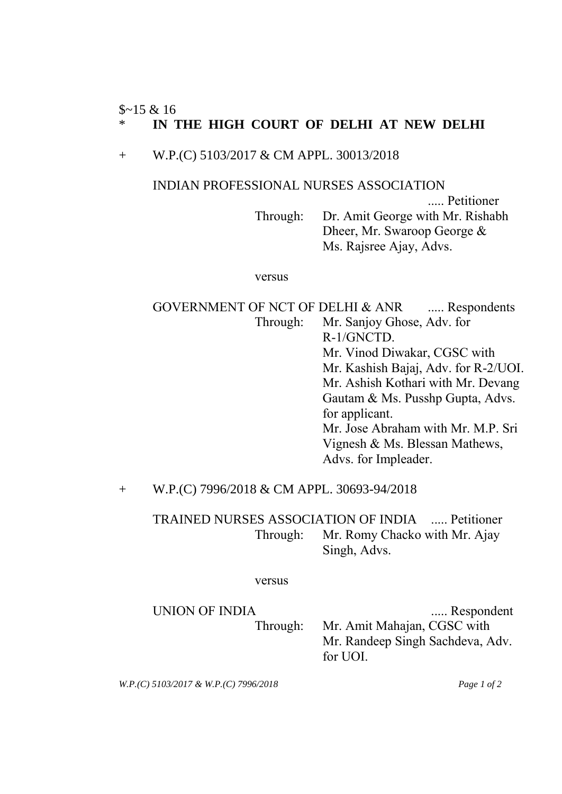## $$~15 & 16$ \* **IN THE HIGH COURT OF DELHI AT NEW DELHI**

## + W.P.(C) 5103/2017 & CM APPL. 30013/2018

### INDIAN PROFESSIONAL NURSES ASSOCIATION

..... Petitioner Through: Dr. Amit George with Mr. Rishabh Dheer, Mr. Swaroop George & Ms. Rajsree Ajay, Advs.

#### versus

GOVERNMENT OF NCT OF DELHI & ANR ...... Respondents Through: Mr. Sanjoy Ghose, Adv. for R-1/GNCTD. Mr. Vinod Diwakar, CGSC with Mr. Kashish Bajaj, Adv. for R-2/UOI. Mr. Ashish Kothari with Mr. Devang Gautam & Ms. Pusshp Gupta, Advs. for applicant. Mr. Jose Abraham with Mr. M.P. Sri Vignesh & Ms. Blessan Mathews, Advs. for Impleader.

# + W.P.(C) 7996/2018 & CM APPL. 30693-94/2018

TRAINED NURSES ASSOCIATION OF INDIA ..... Petitioner Through: Mr. Romy Chacko with Mr. Ajay Singh, Advs.

### versus

# UNION OF INDIA ...... Respondent Through: Mr. Amit Mahajan, CGSC with Mr. Randeep Singh Sachdeva, Adv. for UOI.

*W.P.(C) 5103/2017 & W.P.(C) 7996/2018 Page 1 of 2*